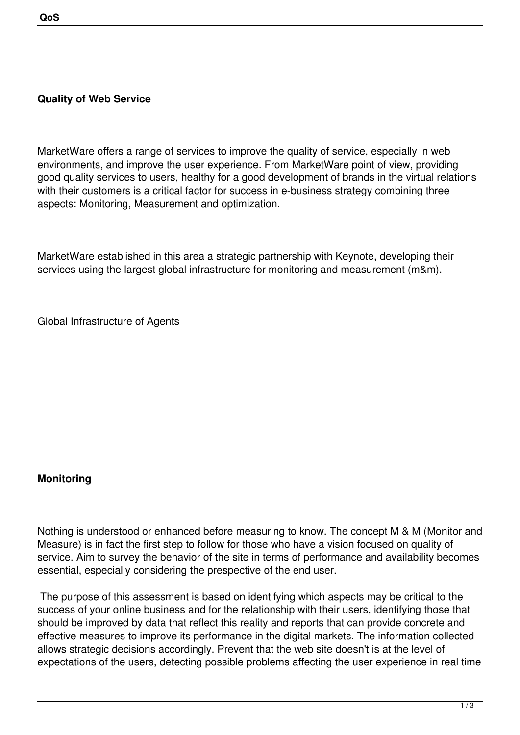#### **Quality of Web Service**

MarketWare offers a range of services to improve the quality of service, especially in web environments, and improve the user experience. From MarketWare point of view, providing good quality services to users, healthy for a good development of brands in the virtual relations with their customers is a critical factor for success in e-business strategy combining three aspects: Monitoring, Measurement and optimization.

MarketWare established in this area a strategic partnership with Keynote, developing their services using the largest global infrastructure for monitoring and measurement (m&m).

Global Infrastructure of Agents

#### **Monitoring**

Nothing is understood or enhanced before measuring to know. The concept M & M (Monitor and Measure) is in fact the first step to follow for those who have a vision focused on quality of service. Aim to survey the behavior of the site in terms of performance and availability becomes essential, especially considering the prespective of the end user.

 The purpose of this assessment is based on identifying which aspects may be critical to the success of your online business and for the relationship with their users, identifying those that should be improved by data that reflect this reality and reports that can provide concrete and effective measures to improve its performance in the digital markets. The information collected allows strategic decisions accordingly. Prevent that the web site doesn't is at the level of expectations of the users, detecting possible problems affecting the user experience in real time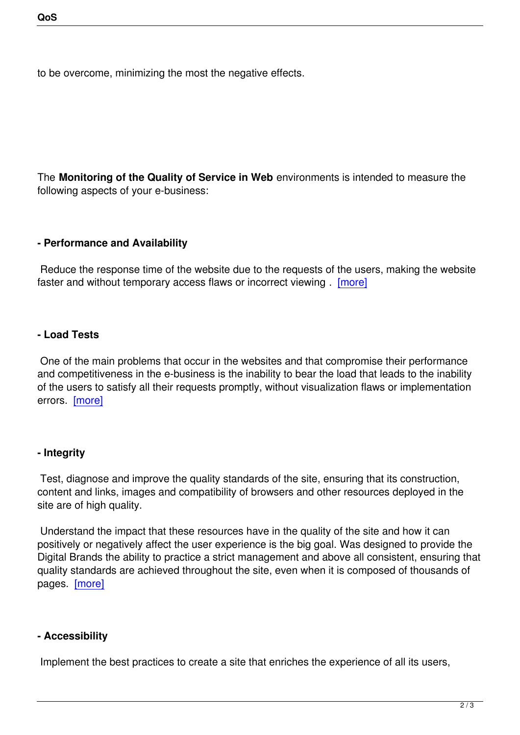to be overcome, minimizing the most the negative effects.

The **Monitoring of the Quality of Service in Web** environments is intended to measure the following aspects of your e-business:

### **- Performance and Availability**

 Reduce the response time of the website due to the requests of the users, making the website faster and without temporary access flaws or incorrect viewing . [more]

### **- Load Tests**

 One of the main problems that occur in the websites and that compromise their performance and competitiveness in the e-business is the inability to bear the load that leads to the inability of the users to satisfy all their requests promptly, without visualization flaws or implementation errors. [more]

# **- Integr[ity](index.php?option=com_content&view=article&id=430&Itemid=242&lang=en)**

 Test, diagnose and improve the quality standards of the site, ensuring that its construction, content and links, images and compatibility of browsers and other resources deployed in the site are of high quality.

 Understand the impact that these resources have in the quality of the site and how it can positively or negatively affect the user experience is the big goal. Was designed to provide the Digital Brands the ability to practice a strict management and above all consistent, ensuring that quality standards are achieved throughout the site, even when it is composed of thousands of pages. [more]

# **- Acce[ssibility](index.php?option=com_content&view=article&id=427&Itemid=239&lang=en)**

Implement the best practices to create a site that enriches the experience of all its users,